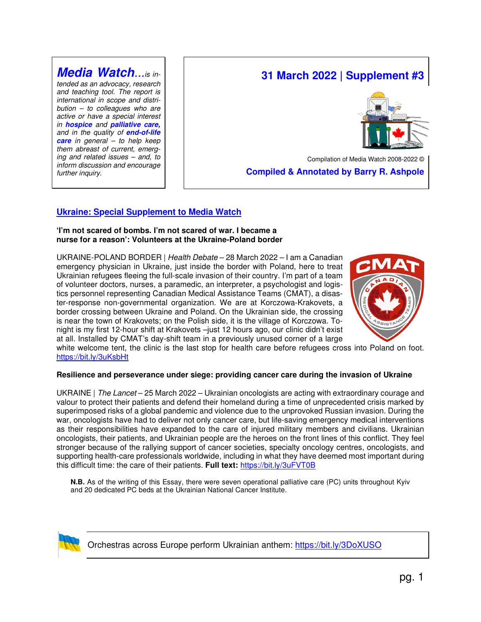**Media Watch**...is intended as an advocacy, research and teaching tool. The report is international in scope and distri $bution - to colleagues who are$ active or have a special interest in **hospice** and **palliative care,** and in the quality of **end-of-life care** in general – to help keep them abreast of current, emerging and related issues – and, to inform discussion and encourage further inquiry.

# **31 March 2022 | Supplement #3**



Compilation of Media Watch 2008-2022 ©  **Compiled & Annotated by Barry R. Ashpole** 

# **Ukraine: Special Supplement to Media Watch**

#### **'I'm not scared of bombs. I'm not scared of war. I became a nurse for a reason': Volunteers at the Ukraine-Poland border**

UKRAINE-POLAND BORDER | Health Debate – 28 March 2022 – I am a Canadian emergency physician in Ukraine, just inside the border with Poland, here to treat Ukrainian refugees fleeing the full-scale invasion of their country. I'm part of a team of volunteer doctors, nurses, a paramedic, an interpreter, a psychologist and logistics personnel representing Canadian Medical Assistance Teams (CMAT), a disaster-response non-governmental organization. We are at Korczowa-Krakovets, a border crossing between Ukraine and Poland. On the Ukrainian side, the crossing is near the town of Krakovets; on the Polish side, it is the village of Korczowa. Tonight is my first 12-hour shift at Krakovets –just 12 hours ago, our clinic didn't exist at all. Installed by CMAT's day-shift team in a previously unused corner of a large



white welcome tent, the clinic is the last stop for health care before refugees cross into Poland on foot. https://bit.ly/3uKsbHt

#### **Resilience and perseverance under siege: providing cancer care during the invasion of Ukraine**

UKRAINE | The Lancet - 25 March 2022 - Ukrainian oncologists are acting with extraordinary courage and valour to protect their patients and defend their homeland during a time of unprecedented crisis marked by superimposed risks of a global pandemic and violence due to the unprovoked Russian invasion. During the war, oncologists have had to deliver not only cancer care, but life-saving emergency medical interventions as their responsibilities have expanded to the care of injured military members and civilians. Ukrainian oncologists, their patients, and Ukrainian people are the heroes on the front lines of this conflict. They feel stronger because of the rallying support of cancer societies, specialty oncology centres, oncologists, and supporting health-care professionals worldwide, including in what they have deemed most important during this difficult time: the care of their patients. **Full text:** https://bit.ly/3uFVT0B

**N.B.** As of the writing of this Essay, there were seven operational palliative care (PC) units throughout Kyiv and 20 dedicated PC beds at the Ukrainian National Cancer Institute.



Orchestras across Europe perform Ukrainian anthem: https://bit.ly/3DoXUSO